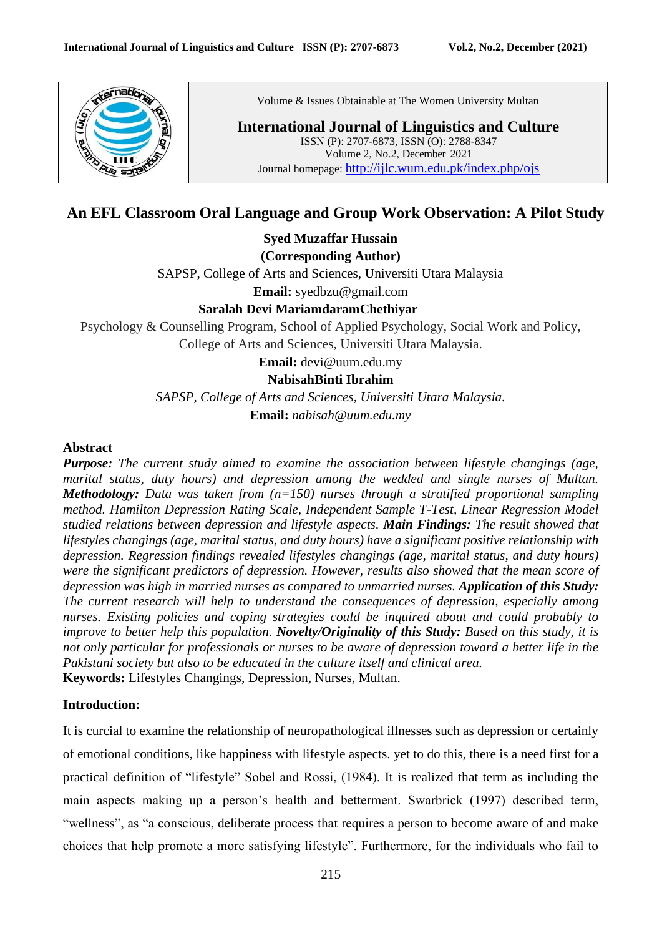

Volume & Issues Obtainable at The Women University Multan

**International Journal of Linguistics and Culture** ISSN (P): 2707-6873, ISSN (O): 2788-8347 Volume 2, No.2, December 2021 Journal homepage: <http://ijlc.wum.edu.pk/index.php/ojs>

# **An EFL Classroom Oral Language and Group Work Observation: A Pilot Study**

**Syed Muzaffar Hussain**

**(Corresponding Author)**

SAPSP, College of Arts and Sciences, Universiti Utara Malaysia

**Email:** syedbzu@gmail.com

### **Saralah Devi MariamdaramChethiyar**

Psychology & Counselling Program, School of Applied Psychology, Social Work and Policy, College of Arts and Sciences, Universiti Utara Malaysia.

**Email:** devi@uum.edu.my

#### **NabisahBinti Ibrahim**

*SAPSP, College of Arts and Sciences, Universiti Utara Malaysia.* **Email:** *nabisah@uum.edu.my*

#### **Abstract**

*Purpose: The current study aimed to examine the association between lifestyle changings (age, marital status, duty hours) and depression among the wedded and single nurses of Multan. Methodology: Data was taken from (n=150) nurses through a stratified proportional sampling method. Hamilton Depression Rating Scale, Independent Sample T-Test, Linear Regression Model studied relations between depression and lifestyle aspects. Main Findings: The result showed that lifestyles changings (age, marital status, and duty hours) have a significant positive relationship with depression. Regression findings revealed lifestyles changings (age, marital status, and duty hours) were the significant predictors of depression. However, results also showed that the mean score of depression was high in married nurses as compared to unmarried nurses. Application of this Study: The current research will help to understand the consequences of depression, especially among nurses. Existing policies and coping strategies could be inquired about and could probably to improve to better help this population. Novelty/Originality of this Study: Based on this study, it is not only particular for professionals or nurses to be aware of depression toward a better life in the Pakistani society but also to be educated in the culture itself and clinical area.* **Keywords:** Lifestyles Changings, Depression, Nurses, Multan.

### **Introduction:**

It is curcial to examine the relationship of neuropathological illnesses such as depression or certainly of emotional conditions, like happiness with lifestyle aspects. yet to do this, there is a need first for a practical definition of "lifestyle" Sobel and Rossi, (1984). It is realized that term as including the main aspects making up a person's health and betterment. Swarbrick (1997) described term, "wellness", as "a conscious, deliberate process that requires a person to become aware of and make choices that help promote a more satisfying lifestyle". Furthermore, for the individuals who fail to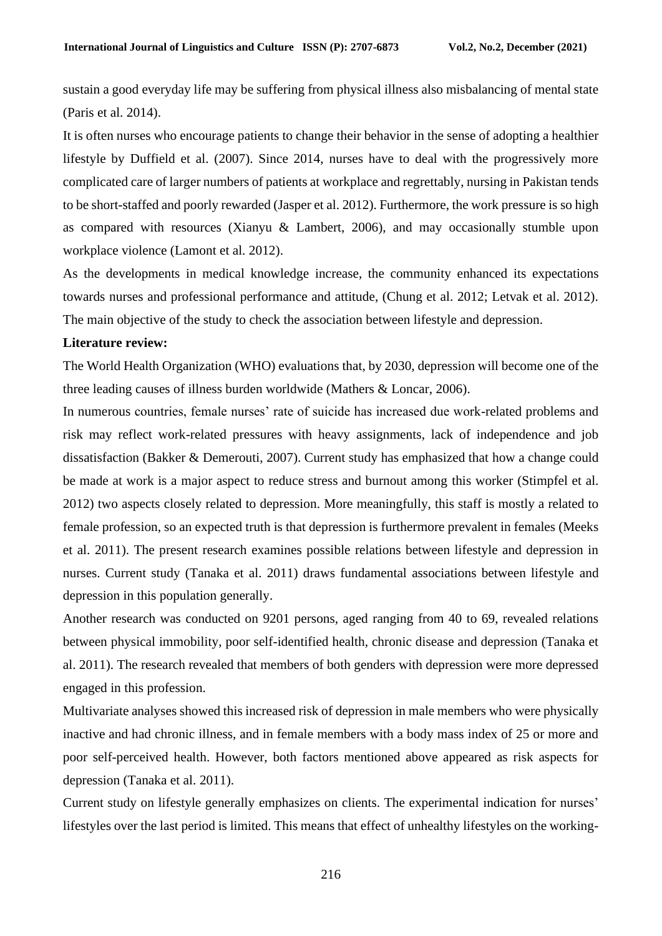sustain a good everyday life may be suffering from physical illness also misbalancing of mental state (Paris et al. 2014).

It is often nurses who encourage patients to change their behavior in the sense of adopting a healthier lifestyle by Duffield et al. (2007). Since 2014, nurses have to deal with the progressively more complicated care of larger numbers of patients at workplace and regrettably, nursing in Pakistan tends to be short-staffed and poorly rewarded (Jasper et al. 2012). Furthermore, the work pressure is so high as compared with resources (Xianyu & Lambert, 2006), and may occasionally stumble upon workplace violence (Lamont et al. 2012).

As the developments in medical knowledge increase, the community enhanced its expectations towards nurses and professional performance and attitude, (Chung et al. 2012; Letvak et al. 2012). The main objective of the study to check the association between lifestyle and depression.

#### **Literature review:**

The World Health Organization (WHO) evaluations that, by 2030, depression will become one of the three leading causes of illness burden worldwide (Mathers & Loncar, 2006).

In numerous countries, female nurses' rate of suicide has increased due work-related problems and risk may reflect work-related pressures with heavy assignments, lack of independence and job dissatisfaction (Bakker & Demerouti, 2007). Current study has emphasized that how a change could be made at work is a major aspect to reduce stress and burnout among this worker (Stimpfel et al. 2012) two aspects closely related to depression. More meaningfully, this staff is mostly a related to female profession, so an expected truth is that depression is furthermore prevalent in females (Meeks et al. 2011). The present research examines possible relations between lifestyle and depression in nurses. Current study (Tanaka et al. 2011) draws fundamental associations between lifestyle and depression in this population generally.

Another research was conducted on 9201 persons, aged ranging from 40 to 69, revealed relations between physical immobility, poor self-identified health, chronic disease and depression (Tanaka et al. 2011). The research revealed that members of both genders with depression were more depressed engaged in this profession.

Multivariate analyses showed this increased risk of depression in male members who were physically inactive and had chronic illness, and in female members with a body mass index of 25 or more and poor self-perceived health. However, both factors mentioned above appeared as risk aspects for depression (Tanaka et al. 2011).

Current study on lifestyle generally emphasizes on clients. The experimental indication for nurses' lifestyles over the last period is limited. This means that effect of unhealthy lifestyles on the working-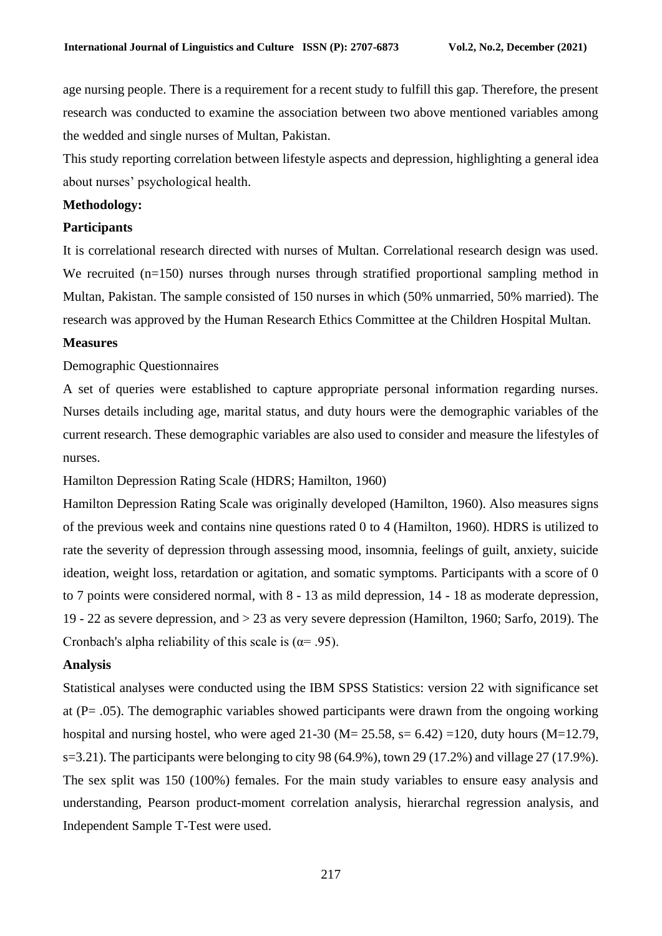age nursing people. There is a requirement for a recent study to fulfill this gap. Therefore, the present research was conducted to examine the association between two above mentioned variables among the wedded and single nurses of Multan, Pakistan.

This study reporting correlation between lifestyle aspects and depression, highlighting a general idea about nurses' psychological health.

#### **Methodology:**

### **Participants**

It is correlational research directed with nurses of Multan. Correlational research design was used. We recruited (n=150) nurses through nurses through stratified proportional sampling method in Multan, Pakistan. The sample consisted of 150 nurses in which (50% unmarried, 50% married). The research was approved by the Human Research Ethics Committee at the Children Hospital Multan.

#### **Measures**

#### Demographic Questionnaires

A set of queries were established to capture appropriate personal information regarding nurses. Nurses details including age, marital status, and duty hours were the demographic variables of the current research. These demographic variables are also used to consider and measure the lifestyles of nurses.

Hamilton Depression Rating Scale (HDRS; Hamilton, 1960)

Hamilton Depression Rating Scale was originally developed (Hamilton, 1960). Also measures signs of the previous week and contains nine questions rated 0 to 4 (Hamilton, 1960). HDRS is utilized to rate the severity of depression through assessing mood, insomnia, feelings of guilt, anxiety, suicide ideation, weight loss, retardation or agitation, and somatic symptoms. Participants with a score of 0 to 7 points were considered normal, with 8 - 13 as mild depression, 14 - 18 as moderate depression, 19 - 22 as severe depression, and > 23 as very severe depression (Hamilton, 1960; Sarfo, 2019). The Cronbach's alpha reliability of this scale is ( $\alpha$ = .95).

#### **Analysis**

Statistical analyses were conducted using the IBM SPSS Statistics: version 22 with significance set at (P= .05). The demographic variables showed participants were drawn from the ongoing working hospital and nursing hostel, who were aged  $21-30$  (M=  $25.58$ , s=  $6.42$ ) =120, duty hours (M=12.79, s=3.21). The participants were belonging to city 98 (64.9%), town 29 (17.2%) and village 27 (17.9%). The sex split was 150 (100%) females. For the main study variables to ensure easy analysis and understanding, Pearson product-moment correlation analysis, hierarchal regression analysis, and Independent Sample T-Test were used.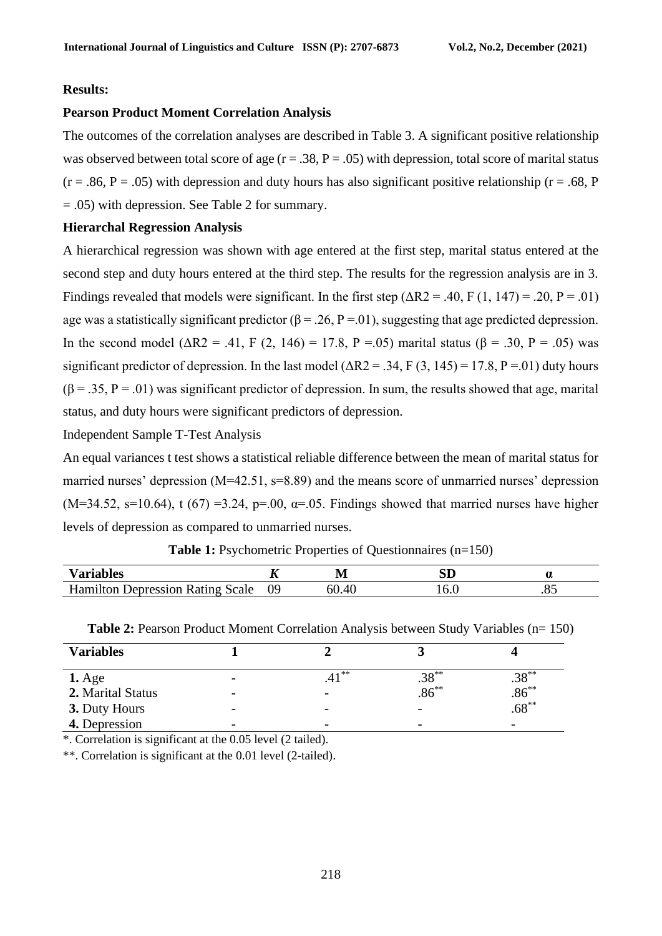#### **Results:**

#### **Pearson Product Moment Correlation Analysis**

The outcomes of the correlation analyses are described in Table 3. A significant positive relationship was observed between total score of age  $(r = .38, P = .05)$  with depression, total score of marital status  $(r = .86, P = .05)$  with depression and duty hours has also significant positive relationship ( $r = .68, P$ ) = .05) with depression. See Table 2 for summary.

#### **Hierarchal Regression Analysis**

A hierarchical regression was shown with age entered at the first step, marital status entered at the second step and duty hours entered at the third step. The results for the regression analysis are in 3. Findings revealed that models were significant. In the first step ( $\Delta R2 = .40$ , F (1, 147) = .20, P = .01) age was a statistically significant predictor ( $\beta = .26$ , P = 01), suggesting that age predicted depression. In the second model ( $ΔR2 = .41$ , F (2, 146) = 17.8, P = .05) marital status (β = .30, P = .05) was significant predictor of depression. In the last model ( $\Delta R2 = .34$ , F (3, 145) = 17.8, P = 01) duty hours  $(\beta = .35, P = .01)$  was significant predictor of depression. In sum, the results showed that age, marital status, and duty hours were significant predictors of depression.

## Independent Sample T-Test Analysis

An equal variances t test shows a statistical reliable difference between the mean of marital status for married nurses' depression (M=42.51, s=8.89) and the means score of unmarried nurses' depression  $(M=34.52, s=10.64)$ , t  $(67) = 3.24$ , p=.00,  $\alpha = .05$ . Findings showed that married nurses have higher levels of depression as compared to unmarried nurses.

| <b>Variables</b>                              | . . | IVI   |     |
|-----------------------------------------------|-----|-------|-----|
| Hamilton<br>Depression<br>. Scale<br>Kating ' | 09  | 60.40 | .v. |

|                   | <b>Table 2: Pearson Product Moment Correlation Analysis between Study Variables (n= 150)</b> |          |            |          |  |  |
|-------------------|----------------------------------------------------------------------------------------------|----------|------------|----------|--|--|
| <b>Variables</b>  |                                                                                              |          |            |          |  |  |
| $1. \text{Age}$   | $\overline{\phantom{a}}$                                                                     | $.41***$ | $.38***$   | $.38***$ |  |  |
| 2. Marital Status | $\overline{\phantom{a}}$                                                                     |          | $.86^{**}$ | $.86***$ |  |  |
| 3. Duty Hours     | $\overline{\phantom{0}}$                                                                     |          |            | $.68***$ |  |  |
| 4. Depression     |                                                                                              |          |            |          |  |  |

**Table 1:** Psychometric Properties of Questionnaires (n=150)

\*. Correlation is significant at the 0.05 level (2 tailed).

\*\*. Correlation is significant at the 0.01 level (2-tailed).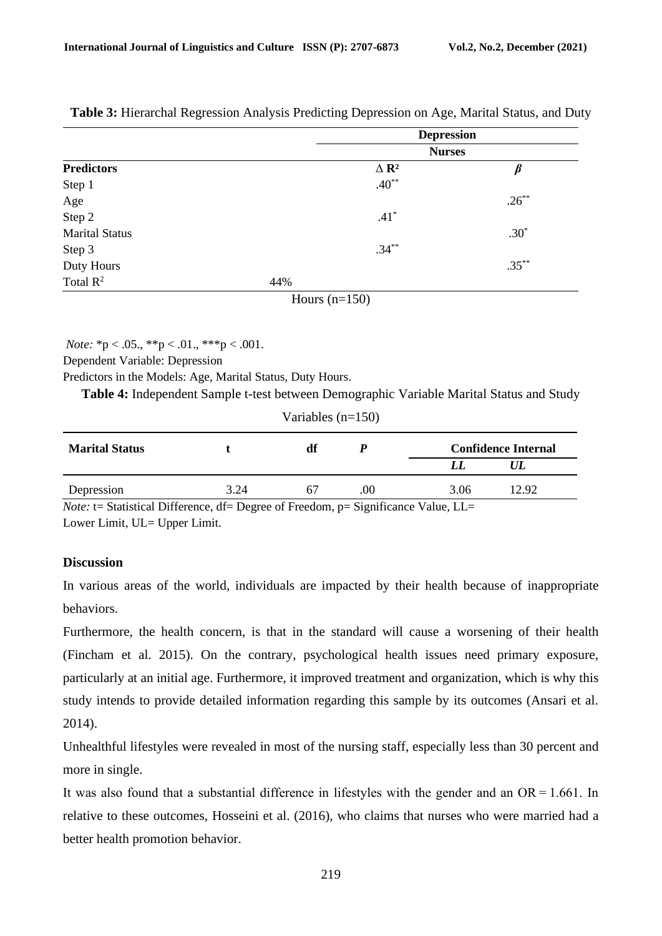|                       |                 | <b>Depression</b>       |          |
|-----------------------|-----------------|-------------------------|----------|
|                       |                 | <b>Nurses</b>           |          |
| <b>Predictors</b>     |                 | $\Delta$ R <sup>2</sup> |          |
| Step 1                |                 | $.40**$                 |          |
| Age                   |                 |                         | $.26***$ |
| Step 2                |                 | $.41*$                  |          |
| <b>Marital Status</b> |                 |                         | $.30*$   |
| Step 3                |                 | $.34***$                |          |
| Duty Hours            |                 |                         | $.35***$ |
| Total $\mathbb{R}^2$  | 44%             |                         |          |
|                       | Hours $(n=150)$ |                         |          |

**Table 3:** Hierarchal Regression Analysis Predicting Depression on Age, Marital Status, and Duty

*Note:*  ${}^*p < .05$ .,  ${}^*p < .01$ .,  ${}^*{}^*p < .001$ .

Dependent Variable: Depression

Predictors in the Models: Age, Marital Status, Duty Hours.

**Table 4:** Independent Sample t-test between Demographic Variable Marital Status and Study

| Variables $(n=150)$                                             |               |                               |                                 |                                                        |       |
|-----------------------------------------------------------------|---------------|-------------------------------|---------------------------------|--------------------------------------------------------|-------|
| <b>Marital Status</b>                                           |               | df                            |                                 | <b>Confidence Internal</b>                             |       |
|                                                                 |               |                               |                                 | LL                                                     | UL    |
| Depression                                                      | 3.24          | 67                            | .00                             | 3.06                                                   | 12.92 |
| $\mathbf{r}$ and $\mathbf{r}$ and $\mathbf{r}$ and $\mathbf{r}$ | $\sim$ $\sim$ | $\sim$ $\sim$<br>$\mathbf{I}$ | $\cdot$ $\sim$<br>$\sim$ $\sim$ | $\mathbf{v}$ $\mathbf{v}$ $\mathbf{v}$<br>$\mathbf{v}$ |       |

*Note:* t= Statistical Difference, df= Degree of Freedom, p= Significance Value, LL= Lower Limit, UL= Upper Limit.

## **Discussion**

In various areas of the world, individuals are impacted by their health because of inappropriate behaviors.

Furthermore, the health concern, is that in the standard will cause a worsening of their health (Fincham et al. 2015). On the contrary, psychological health issues need primary exposure, particularly at an initial age. Furthermore, it improved treatment and organization, which is why this study intends to provide detailed information regarding this sample by its outcomes (Ansari et al. 2014).

Unhealthful lifestyles were revealed in most of the nursing staff, especially less than 30 percent and more in single.

It was also found that a substantial difference in lifestyles with the gender and an  $OR = 1.661$ . In relative to these outcomes, Hosseini et al. (2016), who claims that nurses who were married had a better health promotion behavior.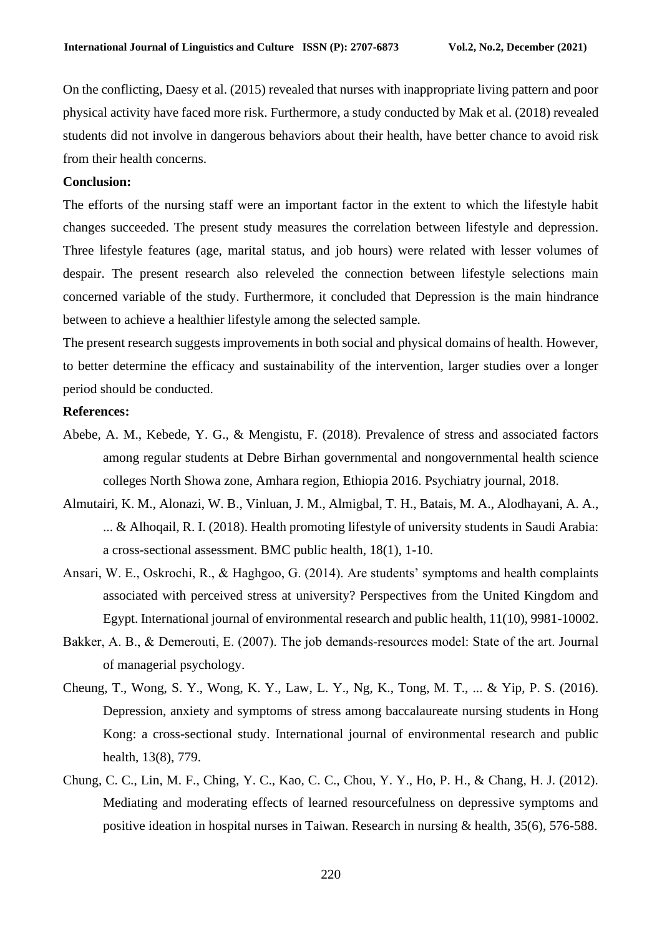On the conflicting, Daesy et al. (2015) revealed that nurses with inappropriate living pattern and poor physical activity have faced more risk. Furthermore, a study conducted by Mak et al. (2018) revealed students did not involve in dangerous behaviors about their health, have better chance to avoid risk from their health concerns.

#### **Conclusion:**

The efforts of the nursing staff were an important factor in the extent to which the lifestyle habit changes succeeded. The present study measures the correlation between lifestyle and depression. Three lifestyle features (age, marital status, and job hours) were related with lesser volumes of despair. The present research also releveled the connection between lifestyle selections main concerned variable of the study. Furthermore, it concluded that Depression is the main hindrance between to achieve a healthier lifestyle among the selected sample.

The present research suggests improvements in both social and physical domains of health. However, to better determine the efficacy and sustainability of the intervention, larger studies over a longer period should be conducted.

#### **References:**

- Abebe, A. M., Kebede, Y. G., & Mengistu, F. (2018). Prevalence of stress and associated factors among regular students at Debre Birhan governmental and nongovernmental health science colleges North Showa zone, Amhara region, Ethiopia 2016. Psychiatry journal, 2018.
- Almutairi, K. M., Alonazi, W. B., Vinluan, J. M., Almigbal, T. H., Batais, M. A., Alodhayani, A. A., ... & Alhoqail, R. I. (2018). Health promoting lifestyle of university students in Saudi Arabia: a cross-sectional assessment. BMC public health, 18(1), 1-10.
- Ansari, W. E., Oskrochi, R., & Haghgoo, G. (2014). Are students' symptoms and health complaints associated with perceived stress at university? Perspectives from the United Kingdom and Egypt. International journal of environmental research and public health, 11(10), 9981-10002.
- Bakker, A. B., & Demerouti, E. (2007). The job demands‐resources model: State of the art. Journal of managerial psychology.
- Cheung, T., Wong, S. Y., Wong, K. Y., Law, L. Y., Ng, K., Tong, M. T., ... & Yip, P. S. (2016). Depression, anxiety and symptoms of stress among baccalaureate nursing students in Hong Kong: a cross-sectional study. International journal of environmental research and public health, 13(8), 779.
- Chung, C. C., Lin, M. F., Ching, Y. C., Kao, C. C., Chou, Y. Y., Ho, P. H., & Chang, H. J. (2012). Mediating and moderating effects of learned resourcefulness on depressive symptoms and positive ideation in hospital nurses in Taiwan. Research in nursing & health, 35(6), 576-588.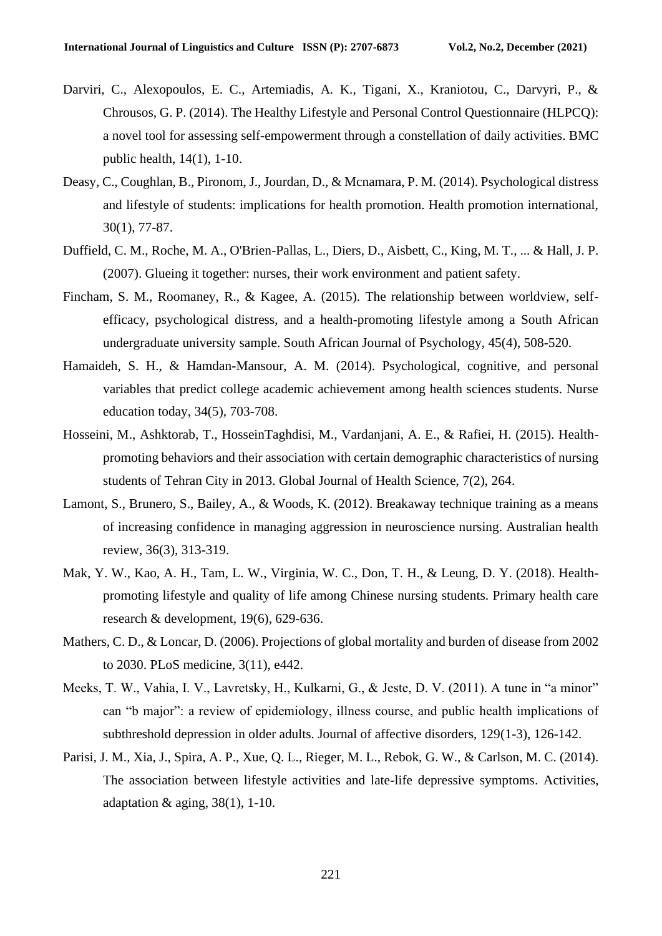- Darviri, C., Alexopoulos, E. C., Artemiadis, A. K., Tigani, X., Kraniotou, C., Darvyri, P., & Chrousos, G. P. (2014). The Healthy Lifestyle and Personal Control Questionnaire (HLPCQ): a novel tool for assessing self-empowerment through a constellation of daily activities. BMC public health, 14(1), 1-10.
- Deasy, C., Coughlan, B., Pironom, J., Jourdan, D., & Mcnamara, P. M. (2014). Psychological distress and lifestyle of students: implications for health promotion. Health promotion international, 30(1), 77-87.
- Duffield, C. M., Roche, M. A., O'Brien-Pallas, L., Diers, D., Aisbett, C., King, M. T., ... & Hall, J. P. (2007). Glueing it together: nurses, their work environment and patient safety.
- Fincham, S. M., Roomaney, R., & Kagee, A. (2015). The relationship between worldview, selfefficacy, psychological distress, and a health-promoting lifestyle among a South African undergraduate university sample. South African Journal of Psychology, 45(4), 508-520.
- Hamaideh, S. H., & Hamdan-Mansour, A. M. (2014). Psychological, cognitive, and personal variables that predict college academic achievement among health sciences students. Nurse education today, 34(5), 703-708.
- Hosseini, M., Ashktorab, T., HosseinTaghdisi, M., Vardanjani, A. E., & Rafiei, H. (2015). Healthpromoting behaviors and their association with certain demographic characteristics of nursing students of Tehran City in 2013. Global Journal of Health Science, 7(2), 264.
- Lamont, S., Brunero, S., Bailey, A., & Woods, K. (2012). Breakaway technique training as a means of increasing confidence in managing aggression in neuroscience nursing. Australian health review, 36(3), 313-319.
- Mak, Y. W., Kao, A. H., Tam, L. W., Virginia, W. C., Don, T. H., & Leung, D. Y. (2018). Healthpromoting lifestyle and quality of life among Chinese nursing students. Primary health care research & development, 19(6), 629-636.
- Mathers, C. D., & Loncar, D. (2006). Projections of global mortality and burden of disease from 2002 to 2030. PLoS medicine, 3(11), e442.
- Meeks, T. W., Vahia, I. V., Lavretsky, H., Kulkarni, G., & Jeste, D. V. (2011). A tune in "a minor" can "b major": a review of epidemiology, illness course, and public health implications of subthreshold depression in older adults. Journal of affective disorders, 129(1-3), 126-142.
- Parisi, J. M., Xia, J., Spira, A. P., Xue, Q. L., Rieger, M. L., Rebok, G. W., & Carlson, M. C. (2014). The association between lifestyle activities and late-life depressive symptoms. Activities, adaptation  $\&$  aging, 38(1), 1-10.